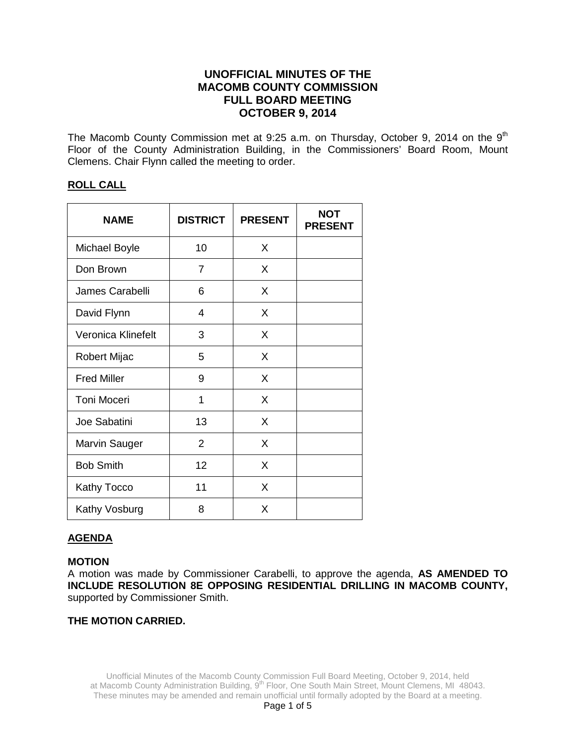# **UNOFFICIAL MINUTES OF THE MACOMB COUNTY COMMISSION FULL BOARD MEETING OCTOBER 9, 2014**

The Macomb County Commission met at 9:25 a.m. on Thursday, October 9, 2014 on the 9<sup>th</sup> Floor of the County Administration Building, in the Commissioners' Board Room, Mount Clemens. Chair Flynn called the meeting to order.

## **ROLL CALL**

| <b>NAME</b>        | <b>DISTRICT</b> | <b>PRESENT</b> | <b>NOT</b><br><b>PRESENT</b> |
|--------------------|-----------------|----------------|------------------------------|
| Michael Boyle      | 10              | X              |                              |
| Don Brown          | $\overline{7}$  | X              |                              |
| James Carabelli    | 6               | X              |                              |
| David Flynn        | 4               | X              |                              |
| Veronica Klinefelt | 3               | X              |                              |
| Robert Mijac       | 5               | X              |                              |
| <b>Fred Miller</b> | 9               | X              |                              |
| <b>Toni Moceri</b> | 1               | X              |                              |
| Joe Sabatini       | 13              | X              |                              |
| Marvin Sauger      | $\overline{2}$  | X              |                              |
| <b>Bob Smith</b>   | 12              | X              |                              |
| Kathy Tocco        | 11              | X              |                              |
| Kathy Vosburg      | 8               | X              |                              |

## **AGENDA**

#### **MOTION**

A motion was made by Commissioner Carabelli, to approve the agenda, **AS AMENDED TO INCLUDE RESOLUTION 8E OPPOSING RESIDENTIAL DRILLING IN MACOMB COUNTY,**  supported by Commissioner Smith.

## **THE MOTION CARRIED.**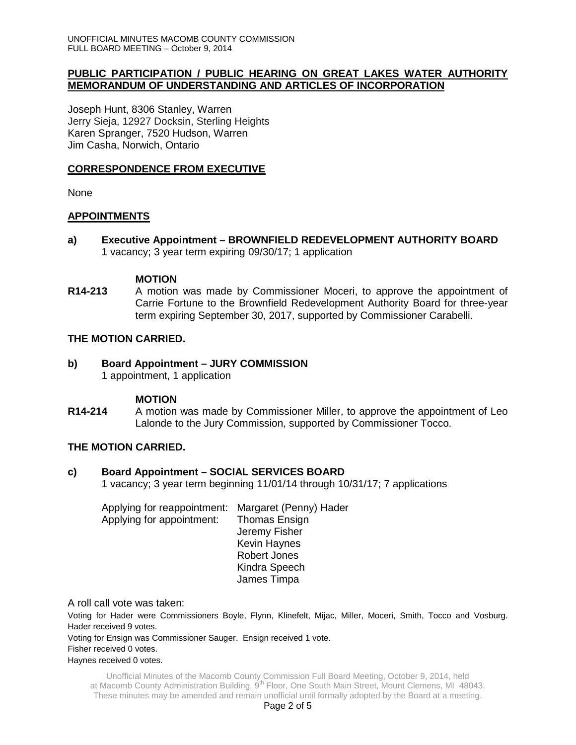## **PUBLIC PARTICIPATION / PUBLIC HEARING ON GREAT LAKES WATER AUTHORITY MEMORANDUM OF UNDERSTANDING AND ARTICLES OF INCORPORATION**

Joseph Hunt, 8306 Stanley, Warren Jerry Sieja, 12927 Docksin, Sterling Heights Karen Spranger, 7520 Hudson, Warren Jim Casha, Norwich, Ontario

## **CORRESPONDENCE FROM EXECUTIVE**

None

# **APPOINTMENTS**

**a) Executive Appointment – BROWNFIELD REDEVELOPMENT AUTHORITY BOARD** 1 vacancy; 3 year term expiring 09/30/17; 1 application

## **MOTION**

**R14-213** A motion was made by Commissioner Moceri, to approve the appointment of Carrie Fortune to the Brownfield Redevelopment Authority Board for three-year term expiring September 30, 2017, supported by Commissioner Carabelli.

## **THE MOTION CARRIED.**

#### **b) Board Appointment – JURY COMMISSION**  1 appointment, 1 application

## **MOTION**

**R14-214** A motion was made by Commissioner Miller, to approve the appointment of Leo Lalonde to the Jury Commission, supported by Commissioner Tocco.

## **THE MOTION CARRIED.**

## **c) Board Appointment – SOCIAL SERVICES BOARD**

1 vacancy; 3 year term beginning 11/01/14 through 10/31/17; 7 applications

Applying for reappointment: Margaret (Penny) Hader Applying for appointment: Thomas Ensign Jeremy Fisher Kevin Haynes Robert Jones Kindra Speech James Timpa

A roll call vote was taken:

Voting for Hader were Commissioners Boyle, Flynn, Klinefelt, Mijac, Miller, Moceri, Smith, Tocco and Vosburg. Hader received 9 votes.

Voting for Ensign was Commissioner Sauger. Ensign received 1 vote. Fisher received 0 votes.

#### Haynes received 0 votes.

Unofficial Minutes of the Macomb County Commission Full Board Meeting, October 9, 2014, held at Macomb County Administration Building, 9<sup>th</sup> Floor, One South Main Street, Mount Clemens, MI 48043. These minutes may be amended and remain unofficial until formally adopted by the Board at a meeting.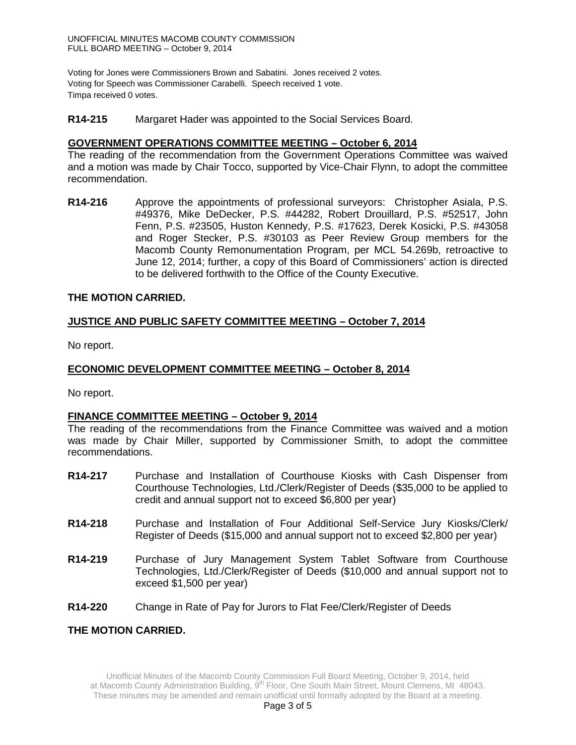Voting for Jones were Commissioners Brown and Sabatini. Jones received 2 votes. Voting for Speech was Commissioner Carabelli. Speech received 1 vote. Timpa received 0 votes.

#### **R14-215** Margaret Hader was appointed to the Social Services Board.

#### **GOVERNMENT OPERATIONS COMMITTEE MEETING – October 6, 2014**

The reading of the recommendation from the Government Operations Committee was waived and a motion was made by Chair Tocco, supported by Vice-Chair Flynn, to adopt the committee recommendation.

**R14-216** Approve the appointments of professional surveyors: Christopher Asiala, P.S. #49376, Mike DeDecker, P.S. #44282, Robert Drouillard, P.S. #52517, John Fenn, P.S. #23505, Huston Kennedy, P.S. #17623, Derek Kosicki, P.S. #43058 and Roger Stecker, P.S. #30103 as Peer Review Group members for the Macomb County Remonumentation Program, per MCL 54.269b, retroactive to June 12, 2014; further, a copy of this Board of Commissioners' action is directed to be delivered forthwith to the Office of the County Executive.

#### **THE MOTION CARRIED.**

## **JUSTICE AND PUBLIC SAFETY COMMITTEE MEETING – October 7, 2014**

No report.

## **ECONOMIC DEVELOPMENT COMMITTEE MEETING – October 8, 2014**

No report.

#### **FINANCE COMMITTEE MEETING – October 9, 2014**

The reading of the recommendations from the Finance Committee was waived and a motion was made by Chair Miller, supported by Commissioner Smith, to adopt the committee recommendations.

- **R14-217** Purchase and Installation of Courthouse Kiosks with Cash Dispenser from Courthouse Technologies, Ltd./Clerk/Register of Deeds (\$35,000 to be applied to credit and annual support not to exceed \$6,800 per year)
- **R14-218** Purchase and Installation of Four Additional Self-Service Jury Kiosks/Clerk/ Register of Deeds (\$15,000 and annual support not to exceed \$2,800 per year)
- **R14-219** Purchase of Jury Management System Tablet Software from Courthouse Technologies, Ltd./Clerk/Register of Deeds (\$10,000 and annual support not to exceed \$1,500 per year)
- **R14-220** Change in Rate of Pay for Jurors to Flat Fee/Clerk/Register of Deeds

**THE MOTION CARRIED.**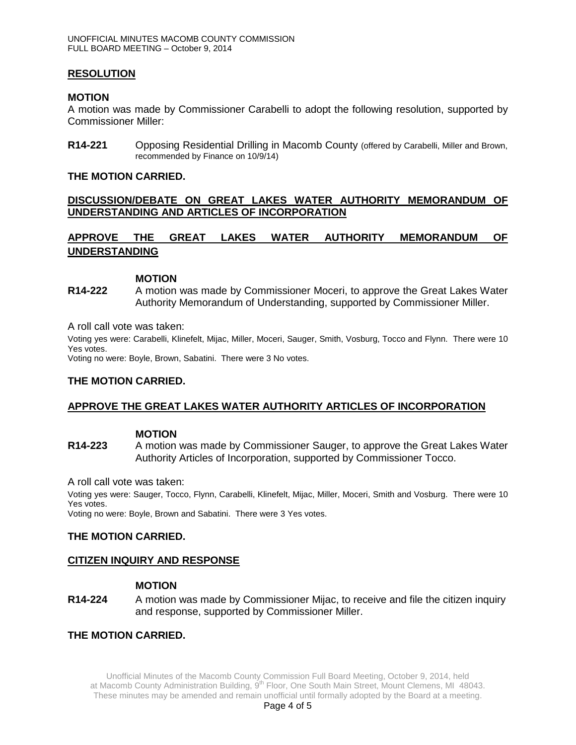## **RESOLUTION**

#### **MOTION**

A motion was made by Commissioner Carabelli to adopt the following resolution, supported by Commissioner Miller:

**R14-221** Opposing Residential Drilling in Macomb County (offered by Carabelli, Miller and Brown, recommended by Finance on 10/9/14)

#### **THE MOTION CARRIED.**

## **DISCUSSION/DEBATE ON GREAT LAKES WATER AUTHORITY MEMORANDUM OF UNDERSTANDING AND ARTICLES OF INCORPORATION**

# **APPROVE THE GREAT LAKES WATER AUTHORITY MEMORANDUM OF UNDERSTANDING**

#### **MOTION**

**R14-222** A motion was made by Commissioner Moceri, to approve the Great Lakes Water Authority Memorandum of Understanding, supported by Commissioner Miller.

A roll call vote was taken:

Voting yes were: Carabelli, Klinefelt, Mijac, Miller, Moceri, Sauger, Smith, Vosburg, Tocco and Flynn. There were 10 Yes votes.

Voting no were: Boyle, Brown, Sabatini. There were 3 No votes.

#### **THE MOTION CARRIED.**

#### **APPROVE THE GREAT LAKES WATER AUTHORITY ARTICLES OF INCORPORATION**

#### **MOTION**

**R14-223** A motion was made by Commissioner Sauger, to approve the Great Lakes Water Authority Articles of Incorporation, supported by Commissioner Tocco.

A roll call vote was taken:

Voting yes were: Sauger, Tocco, Flynn, Carabelli, Klinefelt, Mijac, Miller, Moceri, Smith and Vosburg. There were 10 Yes votes.

Voting no were: Boyle, Brown and Sabatini. There were 3 Yes votes.

#### **THE MOTION CARRIED.**

#### **CITIZEN INQUIRY AND RESPONSE**

## **MOTION**

**R14-224** A motion was made by Commissioner Mijac, to receive and file the citizen inquiry and response, supported by Commissioner Miller.

#### **THE MOTION CARRIED.**